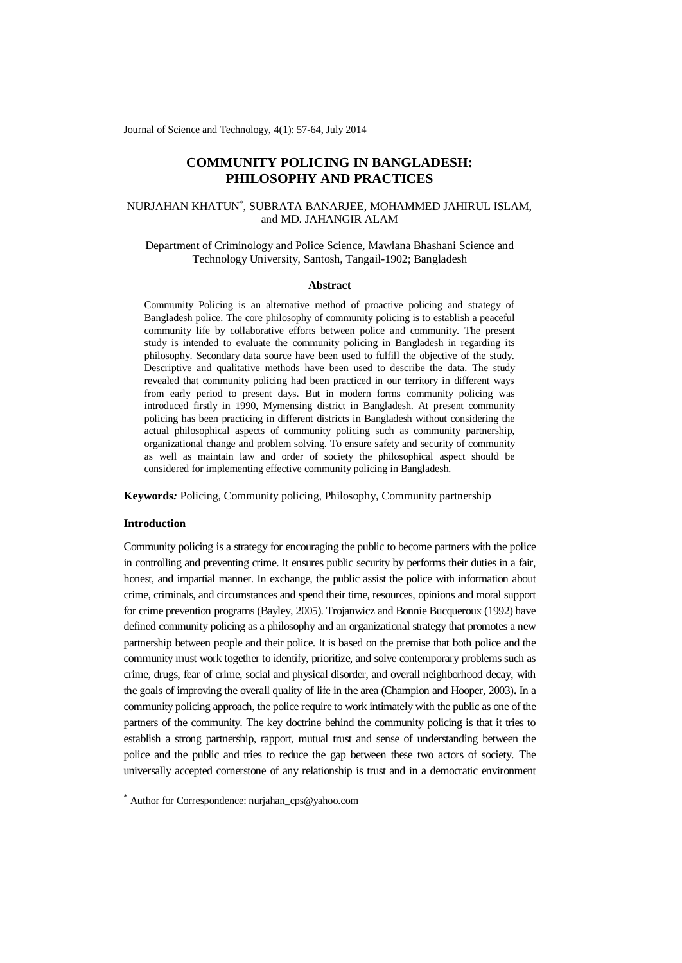Journal of Science and Technology, 4(1): 57-64, July 2014

# **COMMUNITY POLICING IN BANGLADESH: PHILOSOPHY AND PRACTICES**

# NURJAHAN KHATUN\* , SUBRATA BANARJEE, MOHAMMED JAHIRUL ISLAM, and MD. JAHANGIR ALAM

## Department of Criminology and Police Science, Mawlana Bhashani Science and Technology University, Santosh, Tangail-1902; Bangladesh

#### **Abstract**

Community Policing is an alternative method of proactive policing and strategy of Bangladesh police. The core philosophy of community policing is to establish a peaceful community life by collaborative efforts between police and community. The present study is intended to evaluate the community policing in Bangladesh in regarding its philosophy. Secondary data source have been used to fulfill the objective of the study. Descriptive and qualitative methods have been used to describe the data. The study revealed that community policing had been practiced in our territory in different ways from early period to present days. But in modern forms community policing was introduced firstly in 1990, Mymensing district in Bangladesh. At present community policing has been practicing in different districts in Bangladesh without considering the actual philosophical aspects of community policing such as community partnership, organizational change and problem solving. To ensure safety and security of community as well as maintain law and order of society the philosophical aspect should be considered for implementing effective community policing in Bangladesh.

**Keywords***:* Policing, Community policing, Philosophy, Community partnership

## **Introduction**

1

Community policing is a strategy for encouraging the public to become partners with the police in controlling and preventing crime. It ensures public security by performs their duties in a fair, honest, and impartial manner. In exchange, the public assist the police with information about crime, criminals, and circumstances and spend their time, resources, opinions and moral support for crime prevention programs (Bayley, 2005). Trojanwicz and Bonnie Bucqueroux (1992) have defined community policing as a philosophy and an organizational strategy that promotes a new partnership between people and their police. It is based on the premise that both police and the community must work together to identify, prioritize, and solve contemporary problems such as crime, drugs, fear of crime, social and physical disorder, and overall neighborhood decay, with the goals of improving the overall quality of life in the area (Champion and Hooper, 2003)**.** In a community policing approach, the police require to work intimately with the public as one of the partners of the community. The key doctrine behind the community policing is that it tries to establish a strong partnership, rapport, mutual trust and sense of understanding between the police and the public and tries to reduce the gap between these two actors of society. The universally accepted cornerstone of any relationship is trust and in a democratic environment

<sup>\*</sup> Author for Correspondence: nurjahan\_cps@yahoo.com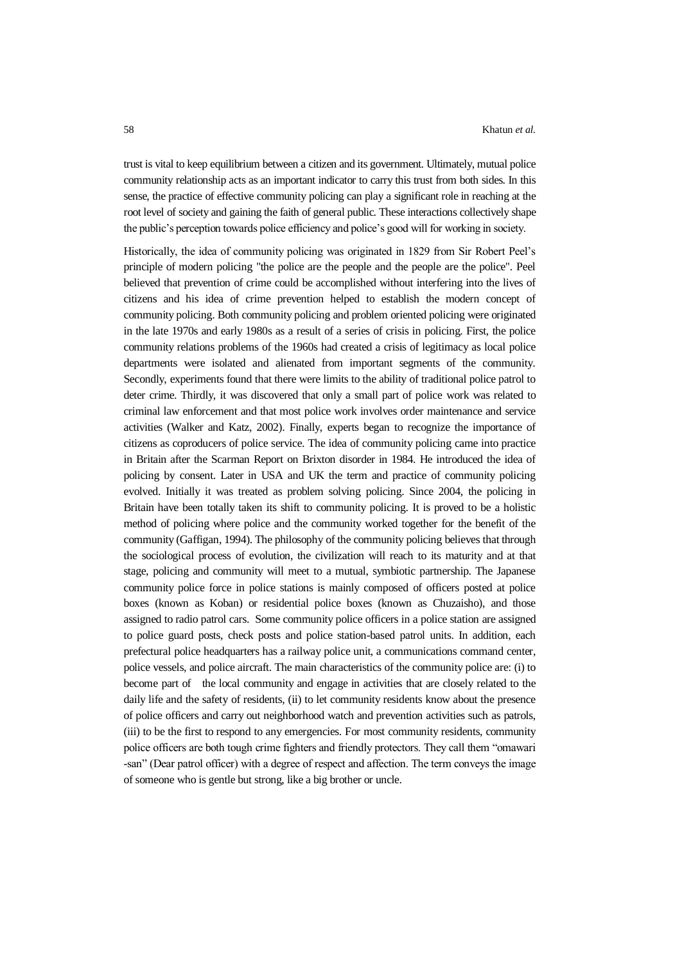trust is vital to keep equilibrium between a citizen and its government. Ultimately, mutual police community relationship acts as an important indicator to carry this trust from both sides. In this sense, the practice of effective community policing can play a significant role in reaching at the root level of society and gaining the faith of general public. These interactions collectively shape the public's perception towards police efficiency and police's good will for working in society.

Historically, the idea of community policing was originated in 1829 from Sir Robert Peel's principle of modern policing "the police are the people and the people are the police". Peel believed that prevention of crime could be accomplished without interfering into the lives of citizens and his idea of crime prevention helped to establish the modern concept of community policing. Both community policing and problem oriented policing were originated in the late 1970s and early 1980s as a result of a series of crisis in policing. First, the police community relations problems of the 1960s had created a crisis of legitimacy as local police departments were isolated and alienated from important segments of the community. Secondly, experiments found that there were limits to the ability of traditional police patrol to deter crime. Thirdly, it was discovered that only a small part of police work was related to criminal law enforcement and that most police work involves order maintenance and service activities (Walker and Katz, 2002). Finally, experts began to recognize the importance of citizens as coproducers of police service. The idea of community policing came into practice in Britain after the Scarman Report on Brixton disorder in 1984. He introduced the idea of policing by consent. Later in USA and UK the term and practice of community policing evolved. Initially it was treated as problem solving policing. Since 2004, the policing in Britain have been totally taken its shift to community policing. It is proved to be a holistic method of policing where police and the community worked together for the benefit of the community (Gaffigan, 1994). The philosophy of the community policing believes that through the sociological process of evolution, the civilization will reach to its maturity and at that stage, policing and community will meet to a mutual, symbiotic partnership. The Japanese community police force in police stations is mainly composed of officers posted at police boxes (known as Koban) or residential police boxes (known as Chuzaisho), and those assigned to radio patrol cars. Some community police officers in a police station are assigned to police guard posts, check posts and police station-based patrol units. In addition, each prefectural police headquarters has a railway police unit, a communications command center, police vessels, and police aircraft. The main characteristics of the community police are: (i) to become part of the local community and engage in activities that are closely related to the daily life and the safety of residents, (ii) to let community residents know about the presence of police officers and carry out neighborhood watch and prevention activities such as patrols, (iii) to be the first to respond to any emergencies. For most community residents, community police officers are both tough crime fighters and friendly protectors. They call them "omawari -san" (Dear patrol officer) with a degree of respect and affection. The term conveys the image of someone who is gentle but strong, like a big brother or uncle.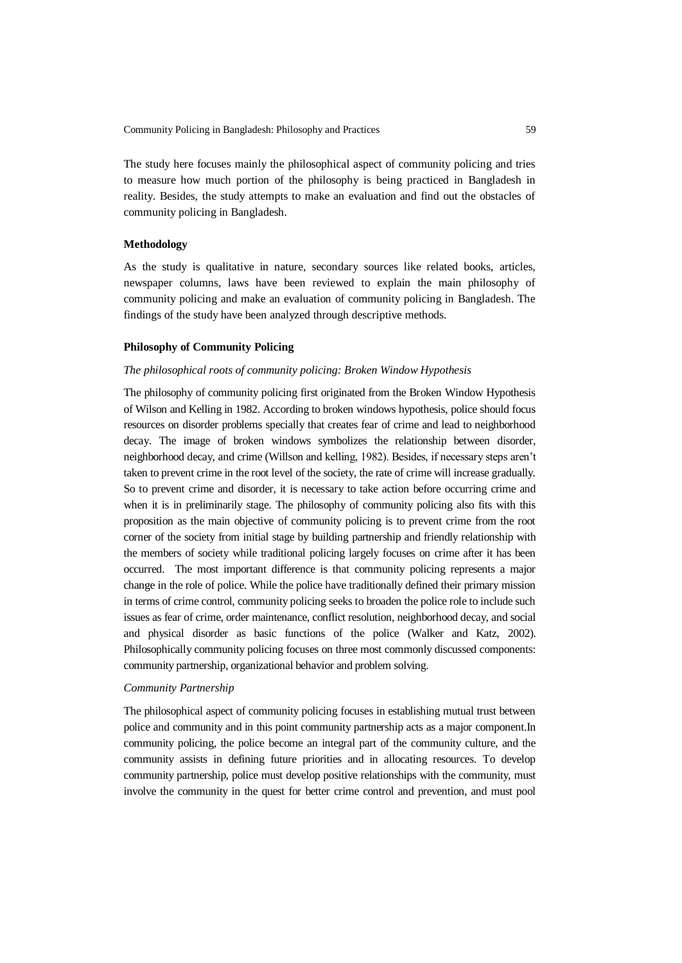The study here focuses mainly the philosophical aspect of community policing and tries to measure how much portion of the philosophy is being practiced in Bangladesh in reality. Besides, the study attempts to make an evaluation and find out the obstacles of community policing in Bangladesh.

# **Methodology**

As the study is qualitative in nature, secondary sources like related books, articles, newspaper columns, laws have been reviewed to explain the main philosophy of community policing and make an evaluation of community policing in Bangladesh. The findings of the study have been analyzed through descriptive methods.

### **Philosophy of Community Policing**

### *The philosophical roots of community policing: Broken Window Hypothesis*

The philosophy of community policing first originated from the Broken Window Hypothesis of Wilson and Kelling in 1982. According to broken windows hypothesis, police should focus resources on disorder problems specially that creates fear of crime and lead to neighborhood decay. The image of broken windows symbolizes the relationship between disorder, neighborhood decay, and crime (Willson and kelling, 1982). Besides, if necessary steps aren't taken to prevent crime in the root level of the society, the rate of crime will increase gradually. So to prevent crime and disorder, it is necessary to take action before occurring crime and when it is in preliminarily stage. The philosophy of community policing also fits with this proposition as the main objective of community policing is to prevent crime from the root corner of the society from initial stage by building partnership and friendly relationship with the members of society while traditional policing largely focuses on crime after it has been occurred. The most important difference is that community policing represents a major change in the role of police. While the police have traditionally defined their primary mission in terms of crime control, community policing seeks to broaden the police role to include such issues as fear of crime, order maintenance, conflict resolution, neighborhood decay, and social and physical disorder as basic functions of the police (Walker and Katz, 2002). Philosophically community policing focuses on three most commonly discussed components: community partnership, organizational behavior and problem solving.

#### *Community Partnership*

The philosophical aspect of community policing focuses in establishing mutual trust between police and community and in this point community partnership acts as a major component.In community policing, the police become an integral part of the community culture, and the community assists in defining future priorities and in allocating resources. To develop community partnership, police must develop positive relationships with the community, must involve the community in the quest for better crime control and prevention, and must pool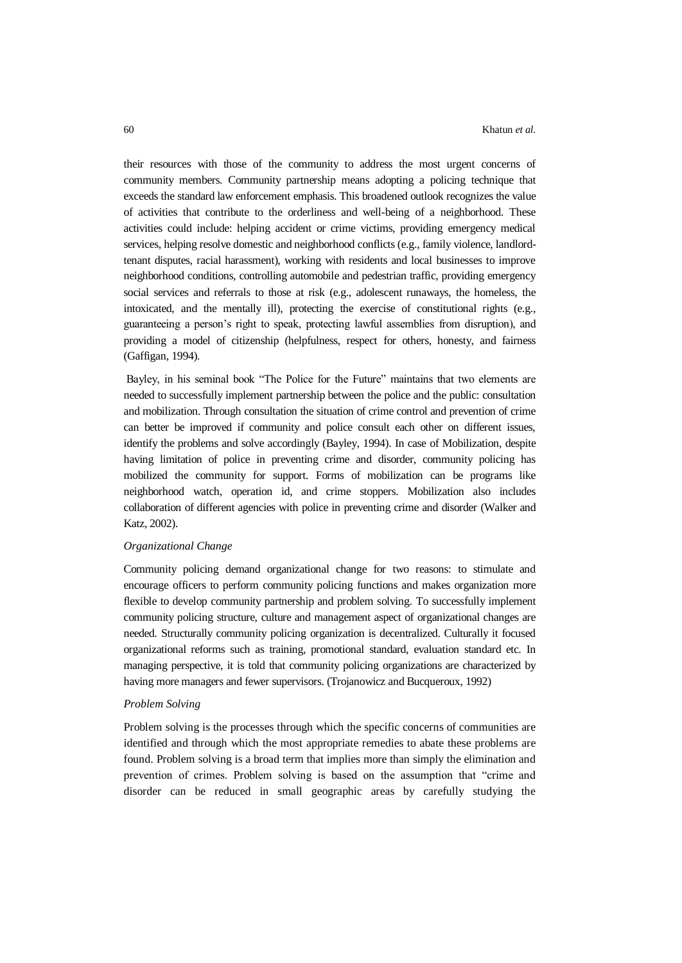their resources with those of the community to address the most urgent concerns of community members. Community partnership means adopting a policing technique that exceeds the standard law enforcement emphasis. This broadened outlook recognizes the value of activities that contribute to the orderliness and well-being of a neighborhood. These activities could include: helping accident or crime victims, providing emergency medical services, helping resolve domestic and neighborhood conflicts (e.g., family violence, landlordtenant disputes, racial harassment), working with residents and local businesses to improve neighborhood conditions, controlling automobile and pedestrian traffic, providing emergency social services and referrals to those at risk (e.g., adolescent runaways, the homeless, the intoxicated, and the mentally ill), protecting the exercise of constitutional rights (e.g., guaranteeing a person's right to speak, protecting lawful assemblies from disruption), and providing a model of citizenship (helpfulness, respect for others, honesty, and fairness (Gaffigan, 1994).

Bayley, in his seminal book "The Police for the Future" maintains that two elements are needed to successfully implement partnership between the police and the public: consultation and mobilization. Through consultation the situation of crime control and prevention of crime can better be improved if community and police consult each other on different issues, identify the problems and solve accordingly (Bayley, 1994). In case of Mobilization, despite having limitation of police in preventing crime and disorder, community policing has mobilized the community for support. Forms of mobilization can be programs like neighborhood watch, operation id, and crime stoppers. Mobilization also includes collaboration of different agencies with police in preventing crime and disorder (Walker and Katz, 2002).

#### *Organizational Change*

Community policing demand organizational change for two reasons: to stimulate and encourage officers to perform community policing functions and makes organization more flexible to develop community partnership and problem solving. To successfully implement community policing structure, culture and management aspect of organizational changes are needed. Structurally community policing organization is decentralized. Culturally it focused organizational reforms such as training, promotional standard, evaluation standard etc. In managing perspective, it is told that community policing organizations are characterized by having more managers and fewer supervisors. (Trojanowicz and Bucqueroux, 1992)

### *Problem Solving*

Problem solving is the processes through which the specific concerns of communities are identified and through which the most appropriate remedies to abate these problems are found. Problem solving is a broad term that implies more than simply the elimination and prevention of crimes. Problem solving is based on the assumption that "crime and disorder can be reduced in small geographic areas by carefully studying the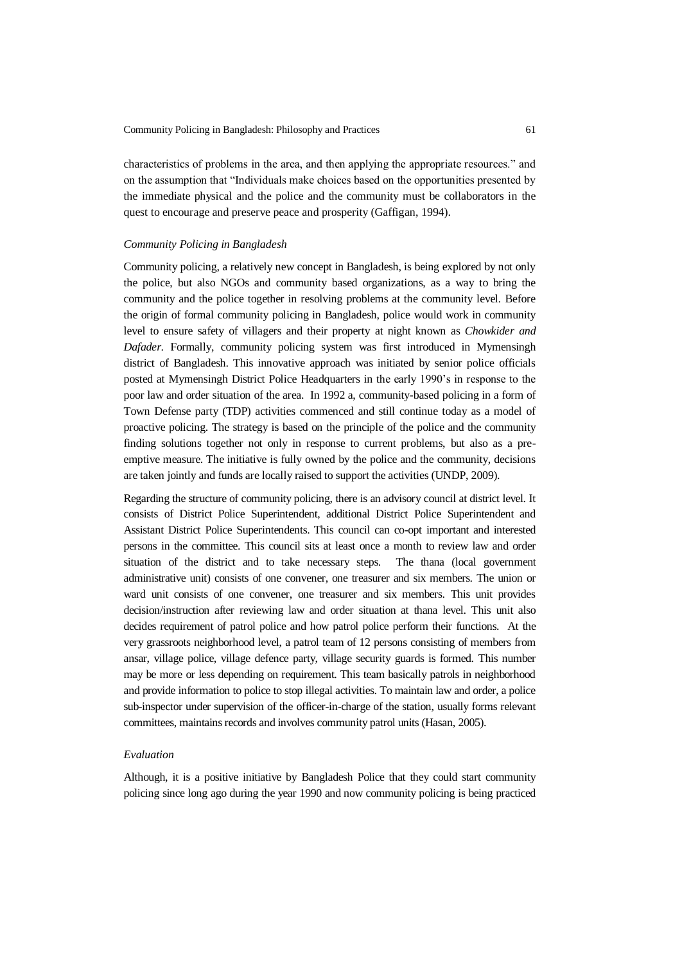characteristics of problems in the area, and then applying the appropriate resources." and on the assumption that "Individuals make choices based on the opportunities presented by the immediate physical and the police and the community must be collaborators in the quest to encourage and preserve peace and prosperity (Gaffigan, 1994).

### *Community Policing in Bangladesh*

Community policing, a relatively new concept in Bangladesh, is being explored by not only the police, but also NGOs and community based organizations, as a way to bring the community and the police together in resolving problems at the community level. Before the origin of formal community policing in Bangladesh, police would work in community level to ensure safety of villagers and their property at night known as *Chowkider and Dafader*. Formally, community policing system was first introduced in Mymensingh district of Bangladesh. This innovative approach was initiated by senior police officials posted at Mymensingh District Police Headquarters in the early 1990's in response to the poor law and order situation of the area. In 1992 a, community-based policing in a form of Town Defense party (TDP) activities commenced and still continue today as a model of proactive policing. The strategy is based on the principle of the police and the community finding solutions together not only in response to current problems, but also as a preemptive measure. The initiative is fully owned by the police and the community, decisions are taken jointly and funds are locally raised to support the activities (UNDP, 2009).

Regarding the structure of community policing, there is an advisory council at district level. It consists of District Police Superintendent, additional District Police Superintendent and Assistant District Police Superintendents. This council can co-opt important and interested persons in the committee. This council sits at least once a month to review law and order situation of the district and to take necessary steps. The thana (local government administrative unit) consists of one convener, one treasurer and six members. The union or ward unit consists of one convener, one treasurer and six members. This unit provides decision/instruction after reviewing law and order situation at thana level. This unit also decides requirement of patrol police and how patrol police perform their functions. At the very grassroots neighborhood level, a patrol team of 12 persons consisting of members from ansar, village police, village defence party, village security guards is formed. This number may be more or less depending on requirement. This team basically patrols in neighborhood and provide information to police to stop illegal activities. To maintain law and order, a police sub-inspector under supervision of the officer-in-charge of the station, usually forms relevant committees, maintains records and involves community patrol units (Hasan, 2005).

### *Evaluation*

Although, it is a positive initiative by Bangladesh Police that they could start community policing since long ago during the year 1990 and now community policing is being practiced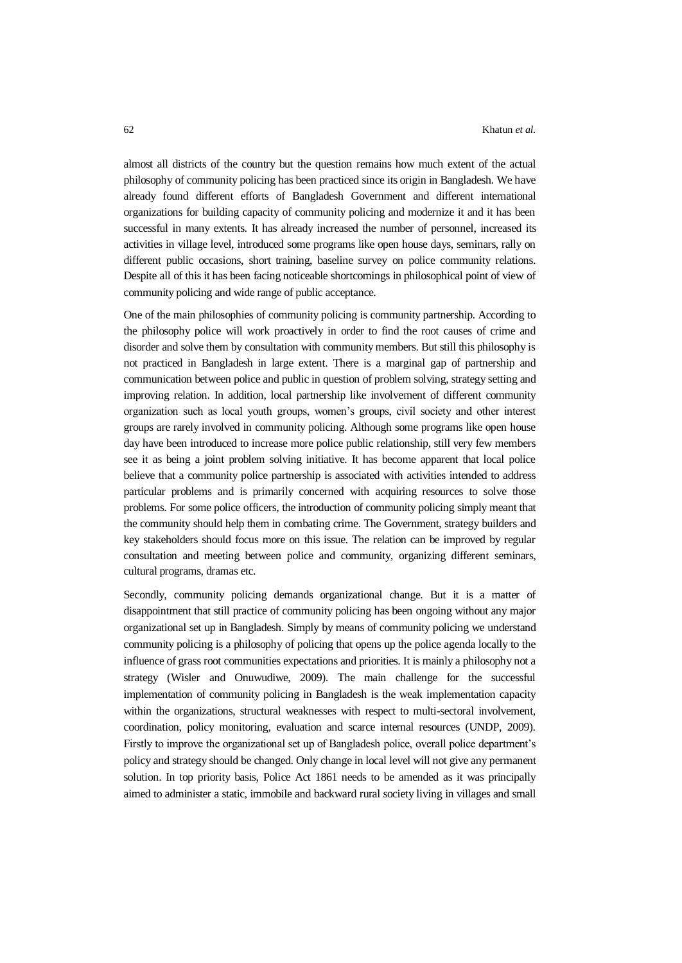almost all districts of the country but the question remains how much extent of the actual philosophy of community policing has been practiced since its origin in Bangladesh. We have already found different efforts of Bangladesh Government and different international organizations for building capacity of community policing and modernize it and it has been successful in many extents. It has already increased the number of personnel, increased its activities in village level, introduced some programs like open house days, seminars, rally on different public occasions, short training, baseline survey on police community relations. Despite all of this it has been facing noticeable shortcomings in philosophical point of view of community policing and wide range of public acceptance.

One of the main philosophies of community policing is community partnership. According to the philosophy police will work proactively in order to find the root causes of crime and disorder and solve them by consultation with community members. But still this philosophy is not practiced in Bangladesh in large extent. There is a marginal gap of partnership and communication between police and public in question of problem solving, strategy setting and improving relation. In addition, local partnership like involvement of different community organization such as local youth groups, women's groups, civil society and other interest groups are rarely involved in community policing. Although some programs like open house day have been introduced to increase more police public relationship, still very few members see it as being a joint problem solving initiative. It has become apparent that local police believe that a community police partnership is associated with activities intended to address particular problems and is primarily concerned with acquiring resources to solve those problems. For some police officers, the introduction of community policing simply meant that the community should help them in combating crime. The Government, strategy builders and key stakeholders should focus more on this issue. The relation can be improved by regular consultation and meeting between police and community, organizing different seminars, cultural programs, dramas etc.

Secondly, community policing demands organizational change. But it is a matter of disappointment that still practice of community policing has been ongoing without any major organizational set up in Bangladesh. Simply by means of community policing we understand community policing is a philosophy of policing that opens up the police agenda locally to the influence of grass root communities expectations and priorities. It is mainly a philosophy not a strategy (Wisler and Onuwudiwe, 2009). The main challenge for the successful implementation of community policing in Bangladesh is the weak implementation capacity within the organizations, structural weaknesses with respect to multi-sectoral involvement, coordination, policy monitoring, evaluation and scarce internal resources (UNDP, 2009). Firstly to improve the organizational set up of Bangladesh police, overall police department's policy and strategy should be changed. Only change in local level will not give any permanent solution. In top priority basis, Police Act 1861 needs to be amended as it was principally aimed to administer a static, immobile and backward rural society living in villages and small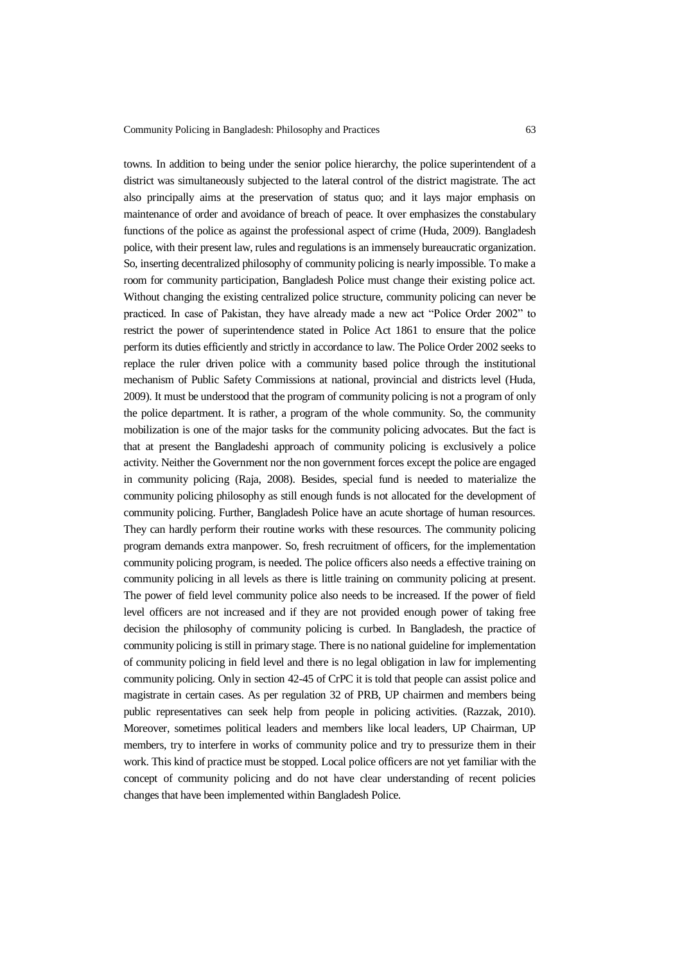towns. In addition to being under the senior police hierarchy, the police superintendent of a district was simultaneously subjected to the lateral control of the district magistrate. The act also principally aims at the preservation of status quo; and it lays major emphasis on maintenance of order and avoidance of breach of peace. It over emphasizes the constabulary functions of the police as against the professional aspect of crime (Huda, 2009). Bangladesh police, with their present law, rules and regulations is an immensely bureaucratic organization. So, inserting decentralized philosophy of community policing is nearly impossible. To make a room for community participation, Bangladesh Police must change their existing police act. Without changing the existing centralized police structure, community policing can never be practiced. In case of Pakistan, they have already made a new act "Police Order 2002" to restrict the power of superintendence stated in Police Act 1861 to ensure that the police perform its duties efficiently and strictly in accordance to law. The Police Order 2002 seeks to replace the ruler driven police with a community based police through the institutional mechanism of Public Safety Commissions at national, provincial and districts level (Huda, 2009). It must be understood that the program of community policing is not a program of only the police department. It is rather, a program of the whole community. So, the community mobilization is one of the major tasks for the community policing advocates. But the fact is that at present the Bangladeshi approach of community policing is exclusively a police activity. Neither the Government nor the non government forces except the police are engaged in community policing (Raja, 2008). Besides, special fund is needed to materialize the community policing philosophy as still enough funds is not allocated for the development of community policing. Further, Bangladesh Police have an acute shortage of human resources. They can hardly perform their routine works with these resources. The community policing program demands extra manpower. So, fresh recruitment of officers, for the implementation community policing program, is needed. The police officers also needs a effective training on community policing in all levels as there is little training on community policing at present. The power of field level community police also needs to be increased. If the power of field level officers are not increased and if they are not provided enough power of taking free decision the philosophy of community policing is curbed. In Bangladesh, the practice of community policing is still in primary stage. There is no national guideline for implementation of community policing in field level and there is no legal obligation in law for implementing community policing. Only in section 42-45 of CrPC it is told that people can assist police and magistrate in certain cases. As per regulation 32 of PRB, UP chairmen and members being public representatives can seek help from people in policing activities. (Razzak, 2010). Moreover, sometimes political leaders and members like local leaders, UP Chairman, UP members, try to interfere in works of community police and try to pressurize them in their work. This kind of practice must be stopped. Local police officers are not yet familiar with the concept of community policing and do not have clear understanding of recent policies changes that have been implemented within Bangladesh Police.